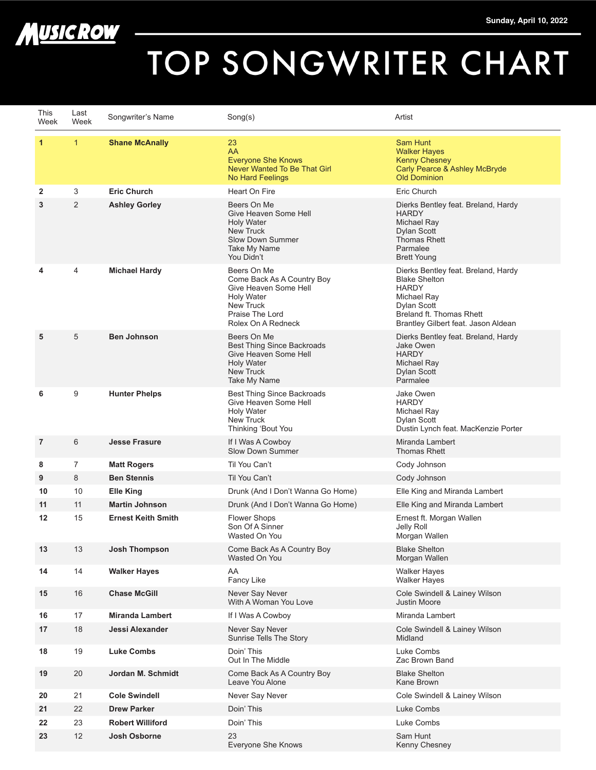

## TOP SONGWRITER CHART

| This<br>Week      | Last<br>Week   | Songwriter's Name         | Song(s)                                                                                                                                       | Artist                                                                                                                                                                       |
|-------------------|----------------|---------------------------|-----------------------------------------------------------------------------------------------------------------------------------------------|------------------------------------------------------------------------------------------------------------------------------------------------------------------------------|
| $\mathbf{1}$      | $\mathbf{1}$   | <b>Shane McAnally</b>     | 23<br>AA<br><b>Everyone She Knows</b><br>Never Wanted To Be That Girl<br>No Hard Feelings                                                     | Sam Hunt<br><b>Walker Hayes</b><br><b>Kenny Chesney</b><br>Carly Pearce & Ashley McBryde<br><b>Old Dominion</b>                                                              |
| 2                 | 3              | <b>Eric Church</b>        | Heart On Fire                                                                                                                                 | Eric Church                                                                                                                                                                  |
| 3                 | $\overline{2}$ | <b>Ashley Gorley</b>      | Beers On Me<br>Give Heaven Some Hell<br><b>Holy Water</b><br><b>New Truck</b><br>Slow Down Summer<br>Take My Name<br>You Didn't               | Dierks Bentley feat. Breland, Hardy<br><b>HARDY</b><br>Michael Ray<br><b>Dylan Scott</b><br><b>Thomas Rhett</b><br>Parmalee<br><b>Brett Young</b>                            |
| 4                 | $\overline{4}$ | <b>Michael Hardy</b>      | Beers On Me<br>Come Back As A Country Boy<br>Give Heaven Some Hell<br><b>Holy Water</b><br>New Truck<br>Praise The Lord<br>Rolex On A Redneck | Dierks Bentley feat. Breland, Hardy<br><b>Blake Shelton</b><br><b>HARDY</b><br>Michael Ray<br>Dylan Scott<br>Breland ft. Thomas Rhett<br>Brantley Gilbert feat. Jason Aldean |
| 5                 | 5              | <b>Ben Johnson</b>        | Beers On Me<br><b>Best Thing Since Backroads</b><br>Give Heaven Some Hell<br><b>Holy Water</b><br>New Truck<br>Take My Name                   | Dierks Bentley feat. Breland, Hardy<br>Jake Owen<br><b>HARDY</b><br>Michael Ray<br>Dylan Scott<br>Parmalee                                                                   |
| 6                 | 9              | <b>Hunter Phelps</b>      | <b>Best Thing Since Backroads</b><br>Give Heaven Some Hell<br><b>Holy Water</b><br>New Truck<br>Thinking 'Bout You                            | Jake Owen<br><b>HARDY</b><br>Michael Ray<br>Dylan Scott<br>Dustin Lynch feat. MacKenzie Porter                                                                               |
| $\overline{7}$    | 6              | <b>Jesse Frasure</b>      | If I Was A Cowboy<br>Slow Down Summer                                                                                                         | Miranda Lambert<br>Thomas Rhett                                                                                                                                              |
| 8                 | $\overline{7}$ | <b>Matt Rogers</b>        | Til You Can't                                                                                                                                 | Cody Johnson                                                                                                                                                                 |
| 9                 | 8              | <b>Ben Stennis</b>        | Til You Can't                                                                                                                                 | Cody Johnson                                                                                                                                                                 |
| 10                | 10             | <b>Elle King</b>          | Drunk (And I Don't Wanna Go Home)                                                                                                             | Elle King and Miranda Lambert                                                                                                                                                |
| 11                | 11             | <b>Martin Johnson</b>     | Drunk (And I Don't Wanna Go Home)                                                                                                             | Elle King and Miranda Lambert                                                                                                                                                |
| $12 \overline{ }$ | 15             | <b>Ernest Keith Smith</b> | <b>Flower Shops</b><br>Son Of A Sinner<br>Wasted On You                                                                                       | Ernest ft. Morgan Wallen<br>Jelly Roll<br>Morgan Wallen                                                                                                                      |
| 13                | 13             | Josh Thompson             | Come Back As A Country Boy<br>Wasted On You                                                                                                   | <b>Blake Shelton</b><br>Morgan Wallen                                                                                                                                        |
| 14                | 14             | <b>Walker Hayes</b>       | AA<br>Fancy Like                                                                                                                              | <b>Walker Hayes</b><br><b>Walker Hayes</b>                                                                                                                                   |
| 15                | 16             | <b>Chase McGill</b>       | Never Say Never<br>With A Woman You Love                                                                                                      | Cole Swindell & Lainey Wilson<br><b>Justin Moore</b>                                                                                                                         |
| 16                | 17             | <b>Miranda Lambert</b>    | If I Was A Cowboy                                                                                                                             | Miranda Lambert                                                                                                                                                              |
| 17                | 18             | <b>Jessi Alexander</b>    | Never Say Never<br>Sunrise Tells The Story                                                                                                    | Cole Swindell & Lainey Wilson<br>Midland                                                                                                                                     |
| 18                | 19             | <b>Luke Combs</b>         | Doin' This<br>Out In The Middle                                                                                                               | Luke Combs<br>Zac Brown Band                                                                                                                                                 |
| 19                | 20             | Jordan M. Schmidt         | Come Back As A Country Boy<br>Leave You Alone                                                                                                 | <b>Blake Shelton</b><br>Kane Brown                                                                                                                                           |
| 20                | 21             | <b>Cole Swindell</b>      | Never Say Never                                                                                                                               | Cole Swindell & Lainey Wilson                                                                                                                                                |
| 21                | 22             | <b>Drew Parker</b>        | Doin' This                                                                                                                                    | Luke Combs                                                                                                                                                                   |
| 22                | 23             | <b>Robert Williford</b>   | Doin' This                                                                                                                                    | Luke Combs                                                                                                                                                                   |
| 23                | 12             | <b>Josh Osborne</b>       | 23<br>Everyone She Knows                                                                                                                      | Sam Hunt<br>Kenny Chesney                                                                                                                                                    |